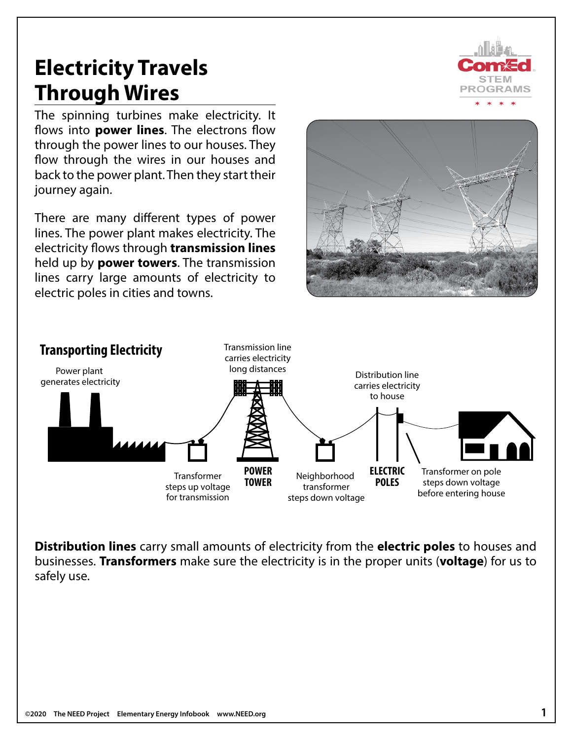# **Electricity Travels Through Wires**

The spinning turbines make electricity. It flows into **power lines**. The electrons flow through the power lines to our houses. They flow through the wires in our houses and back to the power plant. Then they start their journey again.

There are many different types of power lines. The power plant makes electricity. The electricity flows through **transmission lines** held up by **power towers**. The transmission lines carry large amounts of electricity to electric poles in cities and towns.





**Distribution lines** carry small amounts of electricity from the **electric poles** to houses and businesses. **Transformers** make sure the electricity is in the proper units (**voltage**) for us to safely use.